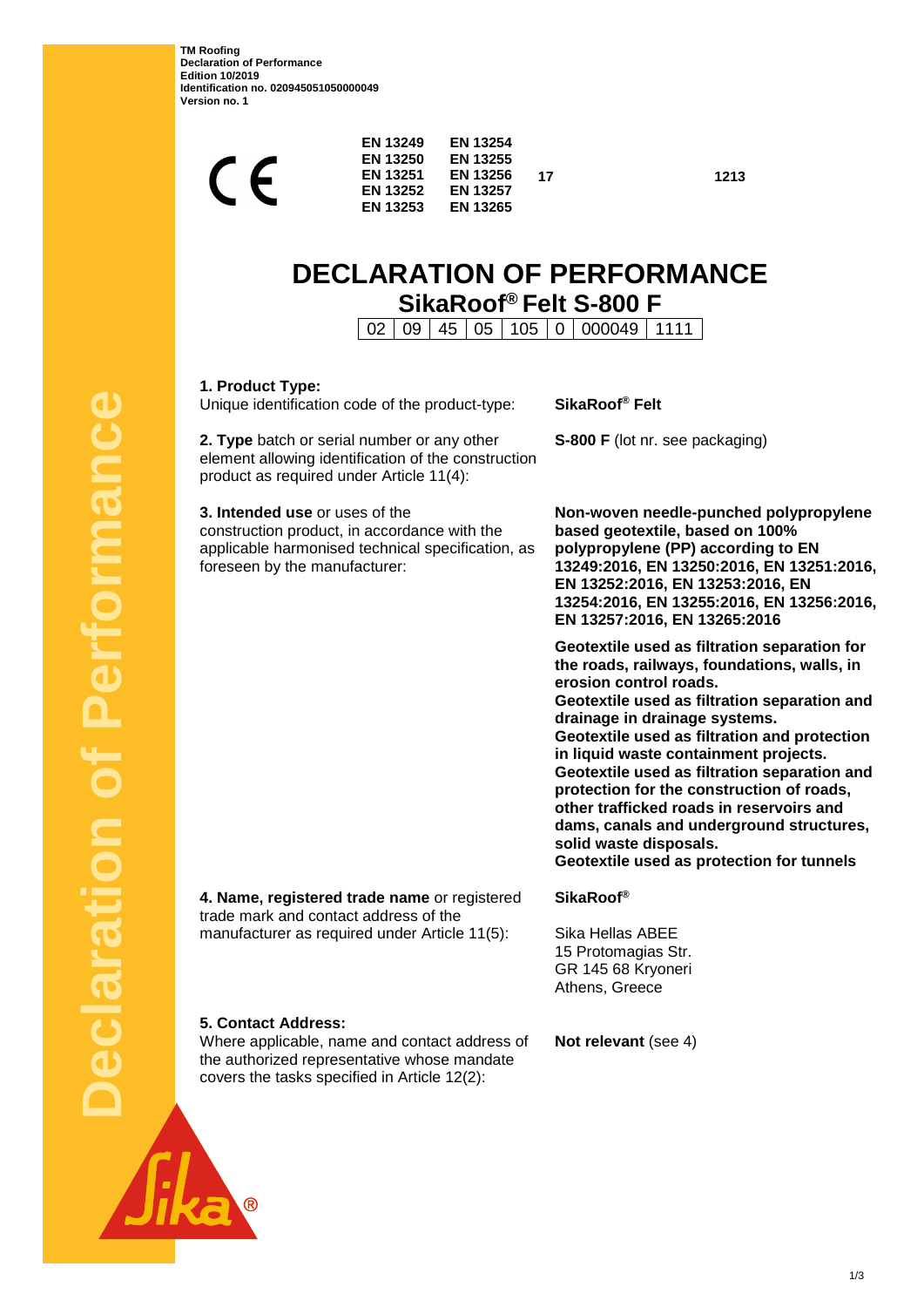**TM Roofing Declaration of Performance Edition 10/2019 Identification no. 020945051050000049 Version no. 1**

| ┕ | <b>EN 13249</b><br><b>EN 13250</b><br><b>EN 13251</b><br><b>EN 13252</b><br><b>EN 13253</b> | <b>EN 13254</b><br><b>EN 13255</b><br><b>EN 13256</b><br><b>EN 13257</b><br><b>EN 13265</b> | 17 |
|---|---------------------------------------------------------------------------------------------|---------------------------------------------------------------------------------------------|----|
|   |                                                                                             |                                                                                             |    |

# **DECLARATION OF PERFORMANCE SikaRoof® Felt S-800 F**

**17 1213**

02 09 45 05 105 0 000049 1111

| 1. Product Type:<br>Unique identification code of the product-type:                                                                                                  | SikaRoof <sup>®</sup> Felt                                                                                                                                                                                                                                                                                                                                                                                                                                                                                                                                  |  |
|----------------------------------------------------------------------------------------------------------------------------------------------------------------------|-------------------------------------------------------------------------------------------------------------------------------------------------------------------------------------------------------------------------------------------------------------------------------------------------------------------------------------------------------------------------------------------------------------------------------------------------------------------------------------------------------------------------------------------------------------|--|
| 2. Type batch or serial number or any other<br>element allowing identification of the construction<br>product as required under Article 11(4):                       | S-800 F (lot nr. see packaging)                                                                                                                                                                                                                                                                                                                                                                                                                                                                                                                             |  |
| 3. Intended use or uses of the<br>construction product, in accordance with the<br>applicable harmonised technical specification, as<br>foreseen by the manufacturer: | Non-woven needle-punched polypropylene<br>based geotextile, based on 100%<br>polypropylene (PP) according to EN<br>13249:2016, EN 13250:2016, EN 13251:2016,<br>EN 13252:2016, EN 13253:2016, EN<br>13254:2016, EN 13255:2016, EN 13256:2016,<br>EN 13257:2016, EN 13265:2016                                                                                                                                                                                                                                                                               |  |
|                                                                                                                                                                      | Geotextile used as filtration separation for<br>the roads, railways, foundations, walls, in<br>erosion control roads.<br>Geotextile used as filtration separation and<br>drainage in drainage systems.<br>Geotextile used as filtration and protection<br>in liquid waste containment projects.<br>Geotextile used as filtration separation and<br>protection for the construction of roads,<br>other trafficked roads in reservoirs and<br>dams, canals and underground structures,<br>solid waste disposals.<br>Geotextile used as protection for tunnels |  |
| 4. Name, registered trade name or registered<br>trade mark and contact address of the                                                                                | <b>SikaRoof®</b>                                                                                                                                                                                                                                                                                                                                                                                                                                                                                                                                            |  |
| manufacturer as required under Article 11(5):                                                                                                                        | Sika Hellas ABEE<br>15 Protomagias Str.<br>GR 145 68 Kryoneri<br>Athens, Greece                                                                                                                                                                                                                                                                                                                                                                                                                                                                             |  |
| 5. Contact Address:<br>Where applicable, name and contact address of<br>the authorized representative whose mandate<br>covers the tasks specified in Article 12(2):  | Not relevant (see 4)                                                                                                                                                                                                                                                                                                                                                                                                                                                                                                                                        |  |

 $\overline{\circ}$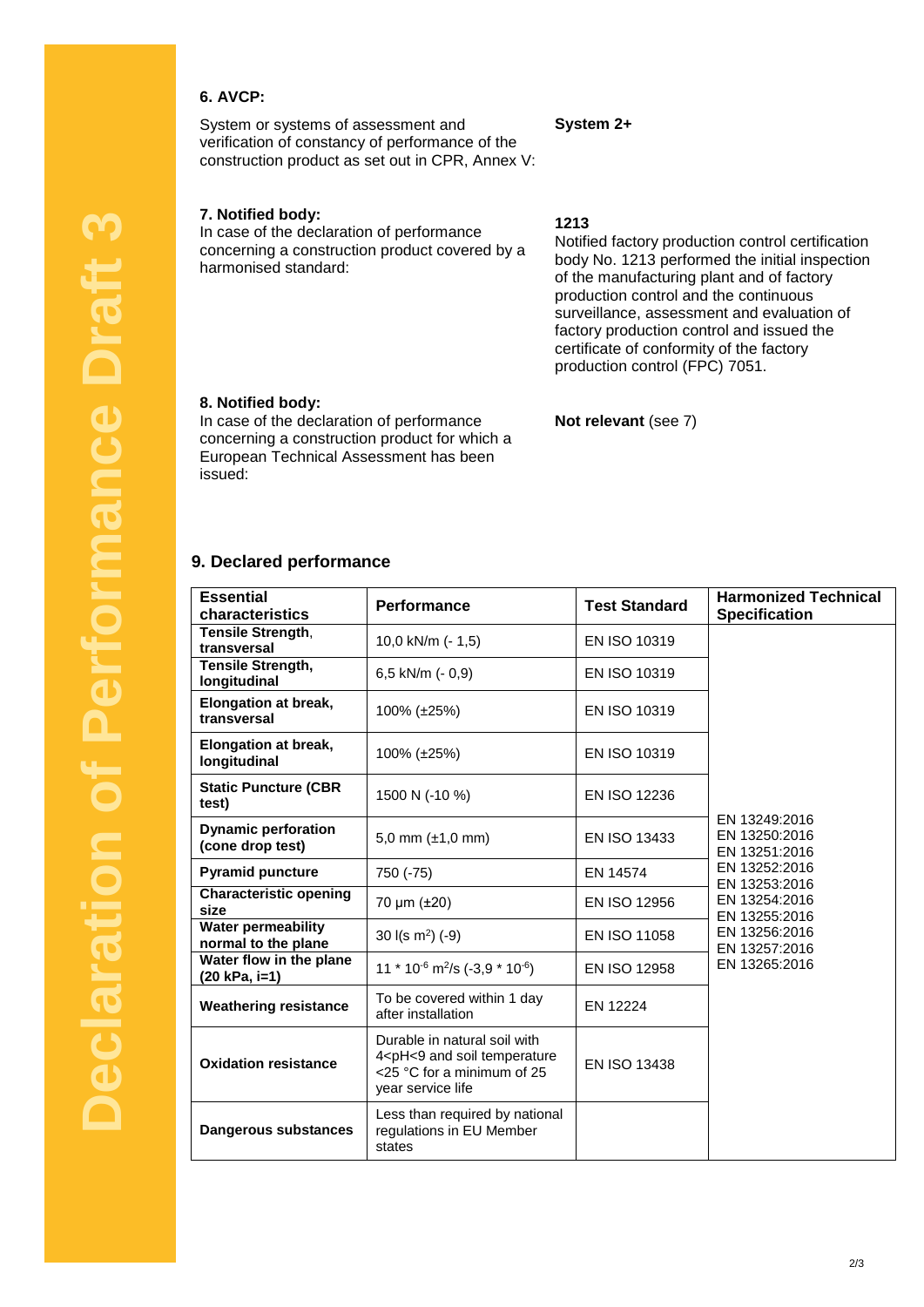## **6. AVCP:**

System or systems of assessment and verification of constancy of performance of the construction product as set out in CPR, Annex V:

### **7. Notified body:**

In case of the declaration of performance concerning a construction product covered by a harmonised standard:

### **1213**

**System 2+**

Notified factory production control certification body No. 1213 performed the initial inspection of the manufacturing plant and of factory production control and the continuous surveillance, assessment and evaluation of factory production control and issued the certificate of conformity of the factory production control (FPC) 7051.

#### **8. Notified body:**

In case of the declaration of performance concerning a construction product for which a European Technical Assessment has been issued:

### **Not relevant** (see 7)

#### **9. Declared performance**

| <b>Essential</b><br>characteristics              | Performance                                                                                                                         | <b>Test Standard</b> | <b>Harmonized Technical</b><br><b>Specification</b> |
|--------------------------------------------------|-------------------------------------------------------------------------------------------------------------------------------------|----------------------|-----------------------------------------------------|
| Tensile Strength,                                |                                                                                                                                     | EN ISO 10319         |                                                     |
| transversal                                      | 10,0 kN/m (- 1,5)                                                                                                                   |                      |                                                     |
| <b>Tensile Strength,</b><br>longitudinal         | 6,5 kN/m (- 0,9)                                                                                                                    | EN ISO 10319         |                                                     |
| <b>Elongation at break,</b><br>transversal       | 100% (±25%)                                                                                                                         | EN ISO 10319         |                                                     |
| <b>Elongation at break,</b><br>longitudinal      | 100% (±25%)                                                                                                                         | EN ISO 10319         |                                                     |
| <b>Static Puncture (CBR</b><br>test)             | 1500 N (-10 %)                                                                                                                      | <b>EN ISO 12236</b>  |                                                     |
| <b>Dynamic perforation</b><br>(cone drop test)   | 5,0 mm $(\pm 1, 0 \text{ mm})$                                                                                                      | <b>EN ISO 13433</b>  | EN 13249:2016<br>EN 13250:2016<br>EN 13251:2016     |
| <b>Pyramid puncture</b>                          | 750 (-75)                                                                                                                           | EN 14574             | EN 13252:2016<br>EN 13253:2016                      |
| <b>Characteristic opening</b><br>size            | 70 µm (±20)                                                                                                                         | EN ISO 12956         | EN 13254:2016<br>EN 13255:2016                      |
| <b>Water permeability</b><br>normal to the plane | 30 $I(s \, m^2)$ (-9)                                                                                                               | EN ISO 11058         | EN 13256:2016<br>EN 13257:2016                      |
| Water flow in the plane<br>(20 kPa, i=1)         | 11 $*$ 10 <sup>-6</sup> m <sup>2</sup> /s (-3,9 $*$ 10 <sup>-6</sup> )                                                              | EN ISO 12958         | EN 13265:2016                                       |
| <b>Weathering resistance</b>                     | To be covered within 1 day<br>after installation                                                                                    | EN 12224             |                                                     |
| <b>Oxidation resistance</b>                      | Durable in natural soil with<br>4 <ph<9 and="" soil="" temperature<br="">&lt;25 °C for a minimum of 25<br/>year service life</ph<9> | EN ISO 13438         |                                                     |
| Dangerous substances                             | Less than required by national<br>regulations in EU Member<br>states                                                                |                      |                                                     |